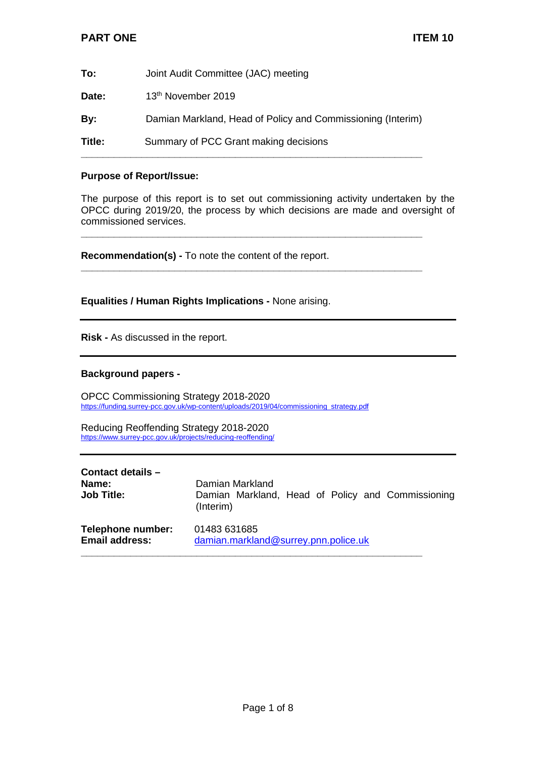| Title: | Summary of PCC Grant making decisions                       |
|--------|-------------------------------------------------------------|
| By:    | Damian Markland, Head of Policy and Commissioning (Interim) |
| Date:  | 13 <sup>th</sup> November 2019                              |
| To:    | Joint Audit Committee (JAC) meeting                         |

## **Purpose of Report/Issue:**

The purpose of this report is to set out commissioning activity undertaken by the OPCC during 2019/20, the process by which decisions are made and oversight of commissioned services.

**\_\_\_\_\_\_\_\_\_\_\_\_\_\_\_\_\_\_\_\_\_\_\_\_\_\_\_\_\_\_\_\_\_\_\_\_\_\_\_\_\_\_\_\_\_\_\_\_\_\_\_\_\_\_\_\_\_\_\_\_\_\_**

**\_\_\_\_\_\_\_\_\_\_\_\_\_\_\_\_\_\_\_\_\_\_\_\_\_\_\_\_\_\_\_\_\_\_\_\_\_\_\_\_\_\_\_\_\_\_\_\_\_\_\_\_\_\_\_\_\_\_\_\_\_\_**

**Recommendation(s) -** To note the content of the report.

**Equalities / Human Rights Implications -** None arising.

**Risk -** As discussed in the report.

## **Background papers -**

OPCC Commissioning Strategy 2018-2020 [https://funding.surrey-pcc.gov.uk/wp-content/uploads/2019/04/commissioning\\_strategy.pdf](https://funding.surrey-pcc.gov.uk/wp-content/uploads/2019/04/commissioning_strategy.pdf)

Reducing Reoffending Strategy 2018-2020 <https://www.surrey-pcc.gov.uk/projects/reducing-reoffending/>

| Contact details -                          |                                                                                   |
|--------------------------------------------|-----------------------------------------------------------------------------------|
| Name:<br><b>Job Title:</b>                 | Damian Markland<br>Damian Markland, Head of Policy and Commissioning<br>(Interim) |
| Telephone number:<br><b>Email address:</b> | 01483 631685<br>damian.markland@surrey.pnn.police.uk                              |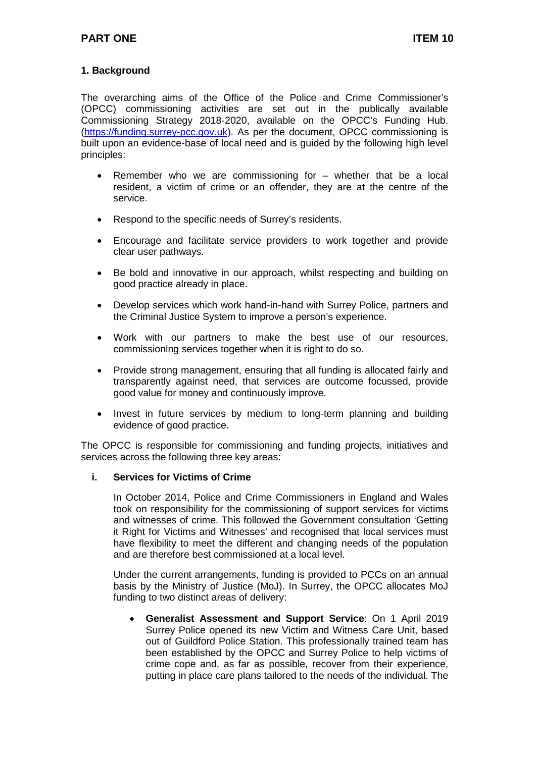## **1. Background**

The overarching aims of the Office of the Police and Crime Commissioner's (OPCC) commissioning activities are set out in the publically available Commissioning Strategy 2018-2020, available on the OPCC's Funding Hub. [\(https://funding.surrey-pcc.gov.uk\)](https://funding.surrey-pcc.gov.uk/). As per the document, OPCC commissioning is built upon an evidence-base of local need and is guided by the following high level principles:

- Remember who we are commissioning for whether that be a local resident, a victim of crime or an offender, they are at the centre of the service.
- Respond to the specific needs of Surrey's residents.
- Encourage and facilitate service providers to work together and provide clear user pathways.
- Be bold and innovative in our approach, whilst respecting and building on good practice already in place.
- Develop services which work hand-in-hand with Surrey Police, partners and the Criminal Justice System to improve a person's experience.
- Work with our partners to make the best use of our resources, commissioning services together when it is right to do so.
- Provide strong management, ensuring that all funding is allocated fairly and transparently against need, that services are outcome focussed, provide good value for money and continuously improve.
- Invest in future services by medium to long-term planning and building evidence of good practice.

The OPCC is responsible for commissioning and funding projects, initiatives and services across the following three key areas:

#### **i. Services for Victims of Crime**

In October 2014, Police and Crime Commissioners in England and Wales took on responsibility for the commissioning of support services for victims and witnesses of crime. This followed the Government consultation 'Getting it Right for Victims and Witnesses' and recognised that local services must have flexibility to meet the different and changing needs of the population and are therefore best commissioned at a local level.

Under the current arrangements, funding is provided to PCCs on an annual basis by the Ministry of Justice (MoJ). In Surrey, the OPCC allocates MoJ funding to two distinct areas of delivery:

• **Generalist Assessment and Support Service**: On 1 April 2019 Surrey Police opened its new Victim and Witness Care Unit, based out of Guildford Police Station. This professionally trained team has been established by the OPCC and Surrey Police to help victims of crime cope and, as far as possible, recover from their experience, putting in place care plans tailored to the needs of the individual. The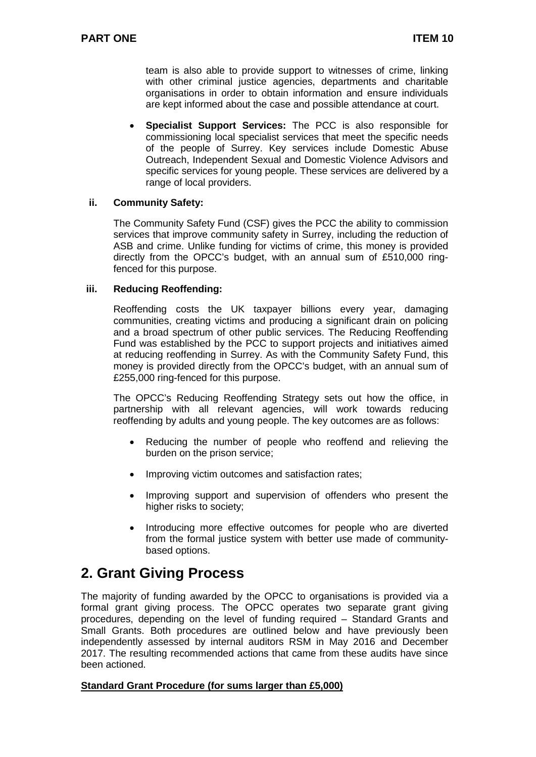team is also able to provide support to witnesses of crime, linking with other criminal justice agencies, departments and charitable organisations in order to obtain information and ensure individuals are kept informed about the case and possible attendance at court.

• **Specialist Support Services:** The PCC is also responsible for commissioning local specialist services that meet the specific needs of the people of Surrey. Key services include Domestic Abuse Outreach, Independent Sexual and Domestic Violence Advisors and specific services for young people. These services are delivered by a range of local providers.

#### **ii. Community Safety:**

The Community Safety Fund (CSF) gives the PCC the ability to commission services that improve community safety in Surrey, including the reduction of ASB and crime. Unlike funding for victims of crime, this money is provided directly from the OPCC's budget, with an annual sum of £510,000 ringfenced for this purpose.

#### **iii. Reducing Reoffending:**

Reoffending costs the UK taxpayer billions every year, damaging communities, creating victims and producing a significant drain on policing and a broad spectrum of other public services. The Reducing Reoffending Fund was established by the PCC to support projects and initiatives aimed at reducing reoffending in Surrey. As with the Community Safety Fund, this money is provided directly from the OPCC's budget, with an annual sum of £255,000 ring-fenced for this purpose.

The OPCC's Reducing Reoffending Strategy sets out how the office, in partnership with all relevant agencies, will work towards reducing reoffending by adults and young people. The key outcomes are as follows:

- Reducing the number of people who reoffend and relieving the burden on the prison service;
- Improving victim outcomes and satisfaction rates;
- Improving support and supervision of offenders who present the higher risks to society;
- Introducing more effective outcomes for people who are diverted from the formal justice system with better use made of communitybased options.

## **2. Grant Giving Process**

The majority of funding awarded by the OPCC to organisations is provided via a formal grant giving process. The OPCC operates two separate grant giving procedures, depending on the level of funding required – Standard Grants and Small Grants. Both procedures are outlined below and have previously been independently assessed by internal auditors RSM in May 2016 and December 2017. The resulting recommended actions that came from these audits have since been actioned.

#### **Standard Grant Procedure (for sums larger than £5,000)**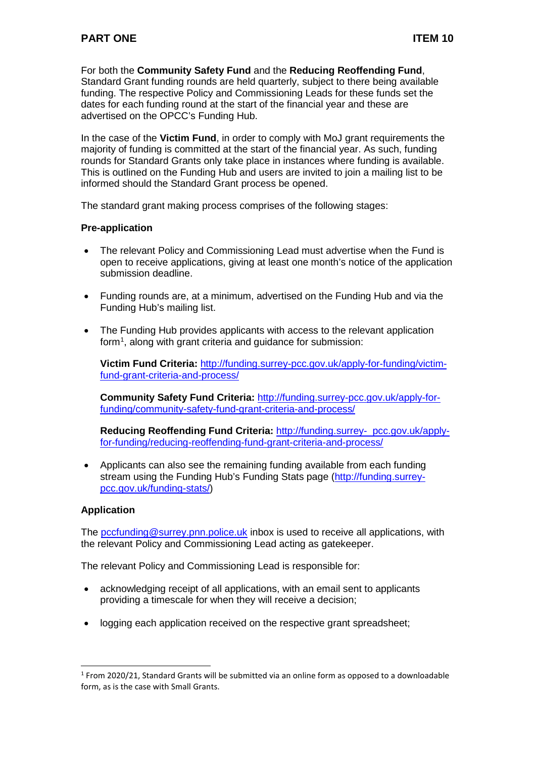For both the **Community Safety Fund** and the **Reducing Reoffending Fund**, Standard Grant funding rounds are held quarterly, subject to there being available funding. The respective Policy and Commissioning Leads for these funds set the dates for each funding round at the start of the financial year and these are advertised on the OPCC's Funding Hub.

In the case of the **Victim Fund**, in order to comply with MoJ grant requirements the majority of funding is committed at the start of the financial year. As such, funding rounds for Standard Grants only take place in instances where funding is available. This is outlined on the Funding Hub and users are invited to join a mailing list to be informed should the Standard Grant process be opened.

The standard grant making process comprises of the following stages:

## **Pre-application**

- The relevant Policy and Commissioning Lead must advertise when the Fund is open to receive applications, giving at least one month's notice of the application submission deadline.
- Funding rounds are, at a minimum, advertised on the Funding Hub and via the Funding Hub's mailing list.
- The Funding Hub provides applicants with access to the relevant application form<sup>[1](#page-3-0)</sup>, along with grant criteria and guidance for submission:

**Victim Fund Criteria:** [http://funding.surrey-pcc.gov.uk/apply-for-funding/victim](http://funding.surrey-pcc.gov.uk/apply-for-funding/victim-fund-grant-criteria-and-process/)[fund-grant-criteria-and-process/](http://funding.surrey-pcc.gov.uk/apply-for-funding/victim-fund-grant-criteria-and-process/)

**Community Safety Fund Criteria:** [http://funding.surrey-pcc.gov.uk/apply-for](http://funding.surrey-pcc.gov.uk/apply-for-funding/community-safety-fund-grant-criteria-and-process/)[funding/community-safety-fund-grant-criteria-and-process/](http://funding.surrey-pcc.gov.uk/apply-for-funding/community-safety-fund-grant-criteria-and-process/)

**Reducing Reoffending Fund Criteria:** http://funding.surrey- pcc.gov.uk/applyfor-funding/reducing-reoffending-fund-grant-criteria-and-process/

• Applicants can also see the remaining funding available from each funding stream using the Funding Hub's Funding Stats page [\(http://funding.surrey](http://funding.surrey-pcc.gov.uk/funding-stats/)[pcc.gov.uk/funding-stats/\)](http://funding.surrey-pcc.gov.uk/funding-stats/)

## **Application**

The [pccfunding@surrey.pnn.police.uk](mailto:pccfunding@surrey.pnn.police.uk) inbox is used to receive all applications, with the relevant Policy and Commissioning Lead acting as gatekeeper.

The relevant Policy and Commissioning Lead is responsible for:

- acknowledging receipt of all applications, with an email sent to applicants providing a timescale for when they will receive a decision;
- logging each application received on the respective grant spreadsheet;

<span id="page-3-0"></span><sup>-</sup><sup>1</sup> From 2020/21, Standard Grants will be submitted via an online form as opposed to a downloadable form, as is the case with Small Grants.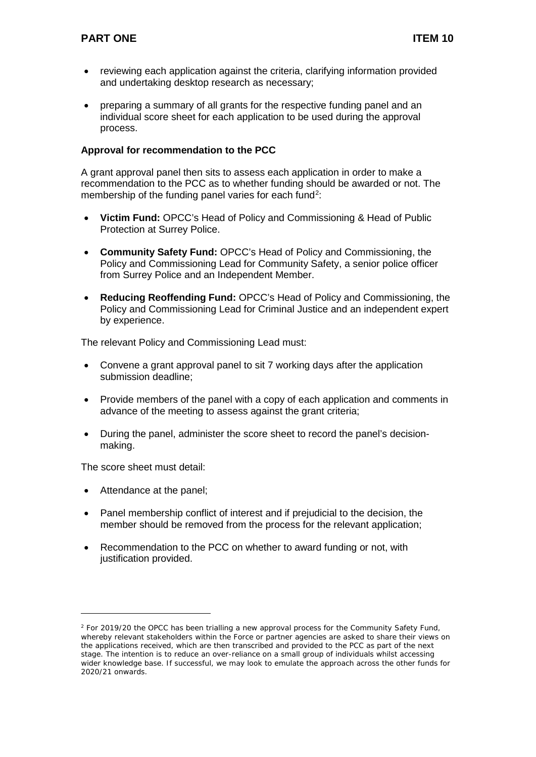- reviewing each application against the criteria, clarifying information provided and undertaking desktop research as necessary;
- preparing a summary of all grants for the respective funding panel and an individual score sheet for each application to be used during the approval process.

## **Approval for recommendation to the PCC**

A grant approval panel then sits to assess each application in order to make a recommendation to the PCC as to whether funding should be awarded or not. The membership of the funding panel varies for each fund<sup>[2](#page-4-0)</sup>:

- **Victim Fund:** OPCC's Head of Policy and Commissioning & Head of Public Protection at Surrey Police.
- **Community Safety Fund:** OPCC's Head of Policy and Commissioning, the Policy and Commissioning Lead for Community Safety, a senior police officer from Surrey Police and an Independent Member.
- **Reducing Reoffending Fund:** OPCC's Head of Policy and Commissioning, the Policy and Commissioning Lead for Criminal Justice and an independent expert by experience.

The relevant Policy and Commissioning Lead must:

- Convene a grant approval panel to sit 7 working days after the application submission deadline;
- Provide members of the panel with a copy of each application and comments in advance of the meeting to assess against the grant criteria;
- During the panel, administer the score sheet to record the panel's decisionmaking.

The score sheet must detail:

• Attendance at the panel;

-

- Panel membership conflict of interest and if prejudicial to the decision, the member should be removed from the process for the relevant application;
- Recommendation to the PCC on whether to award funding or not, with justification provided.

<span id="page-4-0"></span> $2$  For 2019/20 the OPCC has been trialling a new approval process for the Community Safety Fund, whereby relevant stakeholders within the Force or partner agencies are asked to share their views on the applications received, which are then transcribed and provided to the PCC as part of the next stage. The intention is to reduce an over-reliance on a small group of individuals whilst accessing wider knowledge base. If successful, we may look to emulate the approach across the other funds for 2020/21 onwards.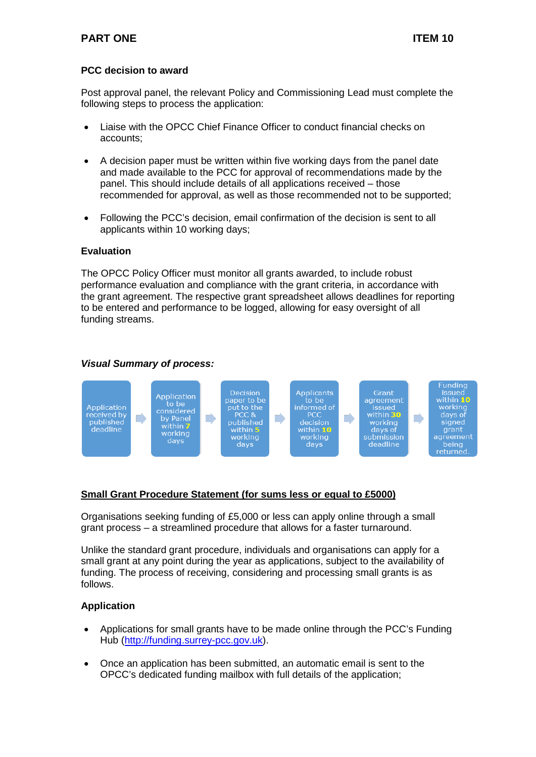## **PCC decision to award**

Post approval panel, the relevant Policy and Commissioning Lead must complete the following steps to process the application:

- Liaise with the OPCC Chief Finance Officer to conduct financial checks on accounts;
- A decision paper must be written within five working days from the panel date and made available to the PCC for approval of recommendations made by the panel. This should include details of all applications received – those recommended for approval, as well as those recommended not to be supported;
- Following the PCC's decision, email confirmation of the decision is sent to all applicants within 10 working days;

#### **Evaluation**

The OPCC Policy Officer must monitor all grants awarded, to include robust performance evaluation and compliance with the grant criteria, in accordance with the grant agreement. The respective grant spreadsheet allows deadlines for reporting to be entered and performance to be logged, allowing for easy oversight of all funding streams.

## *Visual Summary of process:*



## **Small Grant Procedure Statement (for sums less or equal to £5000)**

Organisations seeking funding of £5,000 or less can apply online through a small grant process – a streamlined procedure that allows for a faster turnaround.

Unlike the standard grant procedure, individuals and organisations can apply for a small grant at any point during the year as applications, subject to the availability of funding. The process of receiving, considering and processing small grants is as follows.

## **Application**

- Applications for small grants have to be made online through the PCC's Funding Hub [\(http://funding.surrey-pcc.gov.uk\)](http://funding.surrey-pcc.gov.uk/).
- Once an application has been submitted, an automatic email is sent to the OPCC's dedicated funding mailbox with full details of the application;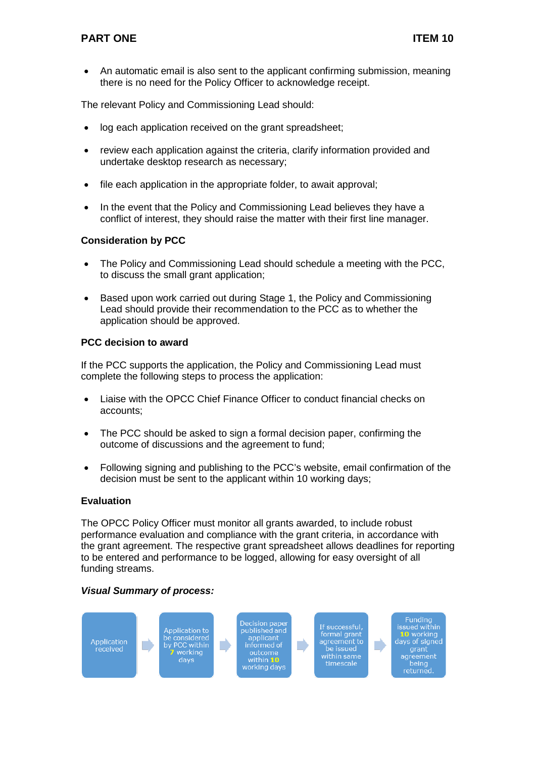• An automatic email is also sent to the applicant confirming submission, meaning there is no need for the Policy Officer to acknowledge receipt.

The relevant Policy and Commissioning Lead should:

- log each application received on the grant spreadsheet;
- review each application against the criteria, clarify information provided and undertake desktop research as necessary;
- file each application in the appropriate folder, to await approval;
- In the event that the Policy and Commissioning Lead believes they have a conflict of interest, they should raise the matter with their first line manager.

## **Consideration by PCC**

- The Policy and Commissioning Lead should schedule a meeting with the PCC, to discuss the small grant application;
- Based upon work carried out during Stage 1, the Policy and Commissioning Lead should provide their recommendation to the PCC as to whether the application should be approved.

## **PCC decision to award**

If the PCC supports the application, the Policy and Commissioning Lead must complete the following steps to process the application:

- Liaise with the OPCC Chief Finance Officer to conduct financial checks on accounts;
- The PCC should be asked to sign a formal decision paper, confirming the outcome of discussions and the agreement to fund;
- Following signing and publishing to the PCC's website, email confirmation of the decision must be sent to the applicant within 10 working days;

## **Evaluation**

The OPCC Policy Officer must monitor all grants awarded, to include robust performance evaluation and compliance with the grant criteria, in accordance with the grant agreement. The respective grant spreadsheet allows deadlines for reporting to be entered and performance to be logged, allowing for easy oversight of all funding streams.

## *Visual Summary of process:*